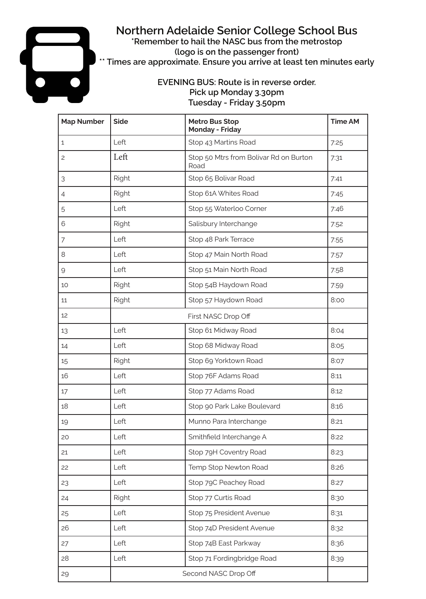## **Northern Adelaide Senior College School Bus**

**\*Remember to hail the NASC bus from the metrostop (logo is on the passenger front) \*\* Times are approximate. Ensure you arrive at least ten minutes early**

## **EVENING BUS: Route is in reverse order. Pick up Monday 3.30pm Tuesday - Friday 3.50pm**

| <b>Map Number</b> | <b>Side</b>  | <b>Metro Bus Stop</b><br><b>Monday - Friday</b> | <b>Time AM</b> |
|-------------------|--------------|-------------------------------------------------|----------------|
| $\mathbf{1}$      | Left         | Stop 43 Martins Road                            | 7:25           |
| $\overline{c}$    | Left         | Stop 50 Mtrs from Bolivar Rd on Burton<br>Road  | 7:31           |
| 3                 | Right        | Stop 65 Bolivar Road                            | 7:41           |
| $\overline{4}$    | <b>Right</b> | Stop 61A Whites Road                            | 7:45           |
| 5                 | Left         | Stop 55 Waterloo Corner                         | 7:46           |
| 6                 | <b>Right</b> | Salisbury Interchange                           | 7:52           |
| $\overline{7}$    | Left         | Stop 48 Park Terrace                            | 7:55           |
| 8                 | Left         | Stop 47 Main North Road                         | 7:57           |
| $\overline{9}$    | Left         | Stop 51 Main North Road                         | 7:58           |
| 10                | <b>Right</b> | Stop 54B Haydown Road                           | 7:59           |
| 11                | <b>Right</b> | Stop 57 Haydown Road                            | 8:00           |
| 12                |              | First NASC Drop Off                             |                |
| 13                | Left         | Stop 61 Midway Road                             | 8:04           |
| 14                | Left         | Stop 68 Midway Road                             | 8:05           |
| 15                | <b>Right</b> | Stop 69 Yorktown Road                           | 8:07           |
| 16                | Left         | Stop 76F Adams Road                             | 8:11           |
| 17                | Left         | Stop 77 Adams Road                              | 8:12           |
| 18                | Left         | Stop 90 Park Lake Boulevard                     | 8:16           |
| 19                | Left         | Munno Para Interchange                          | 8:21           |
| 20                | Left         | Smithfield Interchange A                        | 8:22           |
| 21                | Left         | Stop 79H Coventry Road                          | 8:23           |
| 22                | Left         | Temp Stop Newton Road                           | 8:26           |
| 23                | Left         | Stop 79C Peachey Road                           | 8:27           |
| 24                | <b>Right</b> | Stop 77 Curtis Road                             | 8:30           |
| 25                | Left         | Stop 75 President Avenue                        | 8:31           |
| 26                | Left         | Stop 74D President Avenue                       | 8:32           |
| 27                | Left         | Stop 74B East Parkway                           | 8:36           |
| 28                | Left         | Stop 71 Fordingbridge Road                      | 8:39           |
| 29                |              | Second NASC Drop Off                            |                |